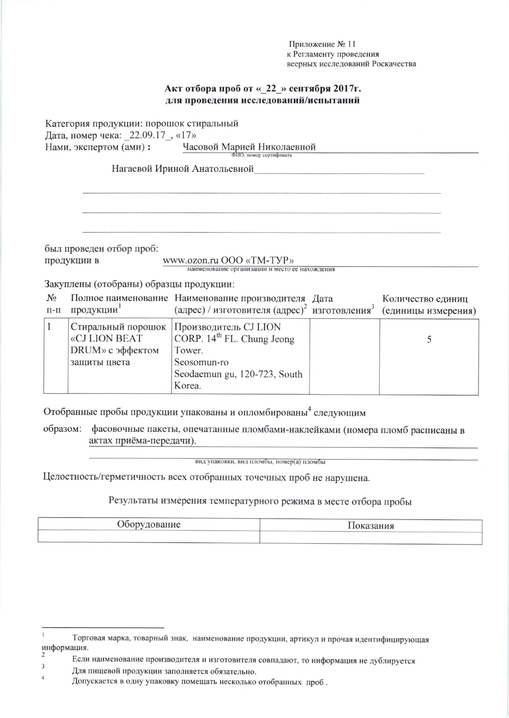Приложение № 11 к Регламенту проведения веерных исследований Роскачества

## Акт отбора проб от « 22 » сентября 2017г. для проведения исследований/испытаний

Категория продукции: порошок стиральный Дата, номер чека: 22.09.17, «17» Нами, экспертом (ами): Часовой Марией Николаевной ФИО, номер сертификата

Нагаевой Ириной Анатольевной

был проведен отбор проб: продукции в

www.ozon.ru OOO «TM-TYP» наименование организации и место ее нахождения

Закуплены (отобраны) образцы продукции:

|              | $\sim$ $\sim$ $\sim$ $\sim$ | <b>CITIONS</b>                                                  |                   |
|--------------|-----------------------------|-----------------------------------------------------------------|-------------------|
|              | п-п продукции               | (адрес) / изготовителя (адрес) изготовления (единицы измерения) |                   |
| $N_{\Omega}$ |                             | Полное наименование Наименование производителя Дата             | Количество единиц |

|                  | Стиральный порошок   Производитель CJ LION |  |
|------------------|--------------------------------------------|--|
| «CJ LION BEAT    | CORP. $14^{th}$ FL. Chung Jeong            |  |
| DRUM» с эффектом | Tower.                                     |  |
| защиты цвета     | Seosomun-ro                                |  |
|                  | Seodaemun gu, 120-723, South               |  |
|                  | Korea.                                     |  |

Отобранные пробы продукции упакованы и опломбированы<sup>4</sup> следующим

образом: фасовочные пакеты, опечатанные пломбами-наклейками (номера пломб расписаны в актах приёма-передачи).

вид упаковки, вид пломбы, номер(а) пломбы

Целостность/герметичность всех отобранных точечных проб не нарушена.

## Результаты измерения температурного режима в месте отбора пробы

| пулование<br>JOODV |  |
|--------------------|--|
|                    |  |

Торговая марка, товарный знак, наименование продукции, артикул и прочая идентифицирующая информация.

Если наименование производителя и изготовителя совпадают, то информация не дублируется  $\overline{3}$ 

Для пищевой продукции заполняется обязательно.  $\overline{4}$ 

Допускается в одну упаковку помещать несколько отобранных проб.